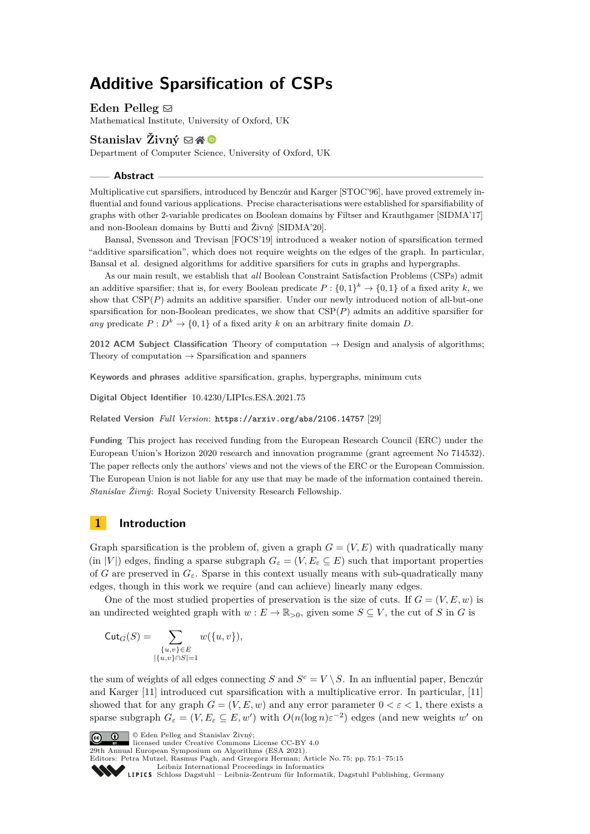# **Additive Sparsification of CSPs**

Eden Pelleg  $\boxtimes$ Mathematical Institute, University of Oxford, UK

# **Stanislav Živný**  $\boxtimes \mathbb{A}^{\mathbb{D}}$

Department of Computer Science, University of Oxford, UK

#### **Abstract**

Multiplicative cut sparsifiers, introduced by Benczúr and Karger [STOC'96], have proved extremely influential and found various applications. Precise characterisations were established for sparsifiability of graphs with other 2-variable predicates on Boolean domains by Filtser and Krauthgamer [SIDMA'17] and non-Boolean domains by Butti and Živný [SIDMA'20].

Bansal, Svensson and Trevisan [FOCS'19] introduced a weaker notion of sparsification termed "additive sparsification", which does not require weights on the edges of the graph. In particular, Bansal et al. designed algorithms for additive sparsifiers for cuts in graphs and hypergraphs.

As our main result, we establish that *all* Boolean Constraint Satisfaction Problems (CSPs) admit an additive sparsifier; that is, for every Boolean predicate  $P: \{0,1\}^k \to \{0,1\}$  of a fixed arity k, we show that CSP(*P*) admits an additive sparsifier. Under our newly introduced notion of all-but-one sparsification for non-Boolean predicates, we show that  $CSP(P)$  admits an additive sparsifier for *any* predicate  $P: D^k \to \{0,1\}$  of a fixed arity *k* on an arbitrary finite domain *D*.

**2012 ACM Subject Classification** Theory of computation → Design and analysis of algorithms; Theory of computation  $\rightarrow$  Sparsification and spanners

**Keywords and phrases** additive sparsification, graphs, hypergraphs, minimum cuts

**Digital Object Identifier** [10.4230/LIPIcs.ESA.2021.75](https://doi.org/10.4230/LIPIcs.ESA.2021.75)

**Related Version** *Full Version*: <https://arxiv.org/abs/2106.14757> [\[29\]](#page-13-0)

**Funding** This project has received funding from the European Research Council (ERC) under the European Union's Horizon 2020 research and innovation programme (grant agreement No 714532). The paper reflects only the authors' views and not the views of the ERC or the European Commission. The European Union is not liable for any use that may be made of the information contained therein. *Stanislav Živný*: Royal Society University Research Fellowship.

# <span id="page-0-0"></span>**1 Introduction**

Graph sparsification is the problem of, given a graph  $G = (V, E)$  with quadratically many (in |*V*|) edges, finding a sparse subgraph  $G_{\varepsilon} = (V, E_{\varepsilon} \subseteq E)$  such that important properties of *G* are preserved in  $G_{\varepsilon}$ . Sparse in this context usually means with sub-quadratically many edges, though in this work we require (and can achieve) linearly many edges.

One of the most studied properties of preservation is the size of cuts. If  $G = (V, E, w)$  is an undirected weighted graph with  $w : E \to \mathbb{R}_{>0}$ , given some  $S \subseteq V$ , the cut of *S* in *G* is

$$
Cut_G(S) = \sum_{\substack{\{u,v\} \in E \\ |\{u,v\} \cap S| = 1}} w(\{u,v\}),
$$

the sum of weights of all edges connecting *S* and  $S^c = V \setminus S$ . In an influential paper, Benczúr and Karger [\[11\]](#page-12-0) introduced cut sparsification with a multiplicative error. In particular, [\[11\]](#page-12-0) showed that for any graph  $G = (V, E, w)$  and any error parameter  $0 < \varepsilon < 1$ , there exists a sparse subgraph  $G_{\varepsilon} = (V, E_{\varepsilon} \subseteq E, w')$  with  $O(n(\log n)\varepsilon^{-2})$  edges (and new weights  $w'$  on



© Eden Pelleg and Stanislav Živný; licensed under Creative Commons License CC-BY 4.0

29th Annual European Symposium on Algorithms (ESA 2021). Editors: Petra Mutzel, Rasmus Pagh, and Grzegorz Herman; Article No. 75; pp. 75:1–75:15

[Leibniz International Proceedings in Informatics](https://www.dagstuhl.de/lipics/)

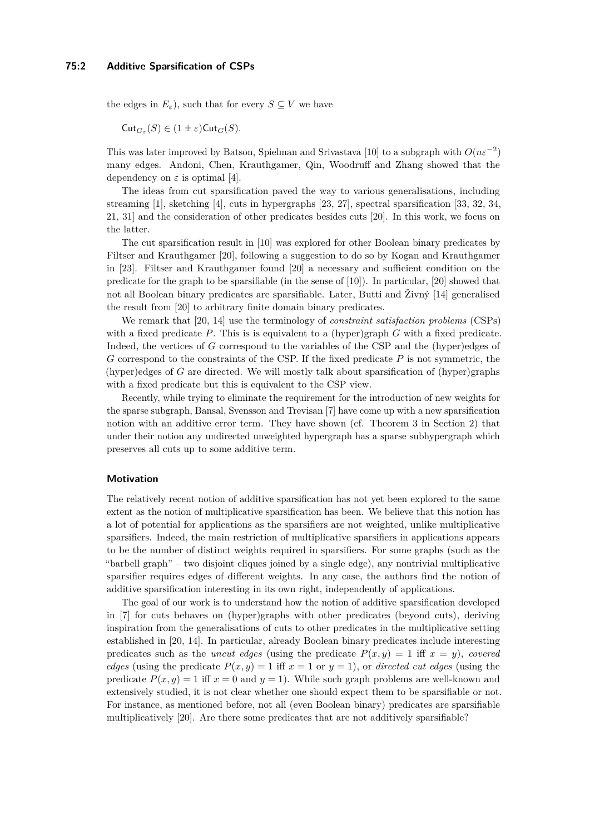the edges in  $E_{\varepsilon}$ ), such that for every  $S \subseteq V$  we have

 $\mathsf{Cut}_{G_\varepsilon}(S) \in (1 \pm \varepsilon)\mathsf{Cut}_G(S)$ .

This was later improved by Batson, Spielman and Srivastava [\[10\]](#page-12-1) to a subgraph with  $O(n\varepsilon^{-2})$ many edges. Andoni, Chen, Krauthgamer, Qin, Woodruff and Zhang showed that the dependency on  $\varepsilon$  is optimal [\[4\]](#page-12-2).

The ideas from cut sparsification paved the way to various generalisations, including streaming [\[1\]](#page-12-3), sketching [\[4\]](#page-12-2), cuts in hypergraphs [\[23,](#page-13-1) [27\]](#page-13-2), spectral sparsification [\[33,](#page-13-3) [32,](#page-13-4) [34,](#page-14-0) [21,](#page-13-5) [31\]](#page-13-6) and the consideration of other predicates besides cuts [\[20\]](#page-13-7). In this work, we focus on the latter.

The cut sparsification result in [\[10\]](#page-12-1) was explored for other Boolean binary predicates by Filtser and Krauthgamer [\[20\]](#page-13-7), following a suggestion to do so by Kogan and Krauthgamer in [\[23\]](#page-13-1). Filtser and Krauthgamer found [\[20\]](#page-13-7) a necessary and sufficient condition on the predicate for the graph to be sparsifiable (in the sense of [\[10\]](#page-12-1)). In particular, [\[20\]](#page-13-7) showed that not all Boolean binary predicates are sparsifiable. Later, Butti and Živný [\[14\]](#page-12-4) generalised the result from [\[20\]](#page-13-7) to arbitrary finite domain binary predicates.

We remark that [\[20,](#page-13-7) [14\]](#page-12-4) use the terminology of *constraint satisfaction problems* (CSPs) with a fixed predicate P. This is is equivalent to a (hyper)graph G with a fixed predicate. Indeed, the vertices of *G* correspond to the variables of the CSP and the (hyper)edges of *G* correspond to the constraints of the CSP. If the fixed predicate *P* is not symmetric, the (hyper)edges of *G* are directed. We will mostly talk about sparsification of (hyper)graphs with a fixed predicate but this is equivalent to the CSP view.

Recently, while trying to eliminate the requirement for the introduction of new weights for the sparse subgraph, Bansal, Svensson and Trevisan [\[7\]](#page-12-5) have come up with a new sparsification notion with an additive error term. They have shown (cf. Theorem [3](#page-4-0) in Section [2\)](#page-3-0) that under their notion any undirected unweighted hypergraph has a sparse subhypergraph which preserves all cuts up to some additive term.

### **Motivation**

The relatively recent notion of additive sparsification has not yet been explored to the same extent as the notion of multiplicative sparsification has been. We believe that this notion has a lot of potential for applications as the sparsifiers are not weighted, unlike multiplicative sparsifiers. Indeed, the main restriction of multiplicative sparsifiers in applications appears to be the number of distinct weights required in sparsifiers. For some graphs (such as the "barbell graph" – two disjoint cliques joined by a single edge), any nontrivial multiplicative sparsifier requires edges of different weights. In any case, the authors find the notion of additive sparsification interesting in its own right, independently of applications.

The goal of our work is to understand how the notion of additive sparsification developed in [\[7\]](#page-12-5) for cuts behaves on (hyper)graphs with other predicates (beyond cuts), deriving inspiration from the generalisations of cuts to other predicates in the multiplicative setting established in [\[20,](#page-13-7) [14\]](#page-12-4). In particular, already Boolean binary predicates include interesting predicates such as the *uncut edges* (using the predicate  $P(x, y) = 1$  iff  $x = y$ ), *covered edges* (using the predicate  $P(x, y) = 1$  iff  $x = 1$  or  $y = 1$ ), or *directed cut edges* (using the predicate  $P(x, y) = 1$  iff  $x = 0$  and  $y = 1$ ). While such graph problems are well-known and extensively studied, it is not clear whether one should expect them to be sparsifiable or not. For instance, as mentioned before, not all (even Boolean binary) predicates are sparsifiable multiplicatively [\[20\]](#page-13-7). Are there some predicates that are not additively sparsifiable?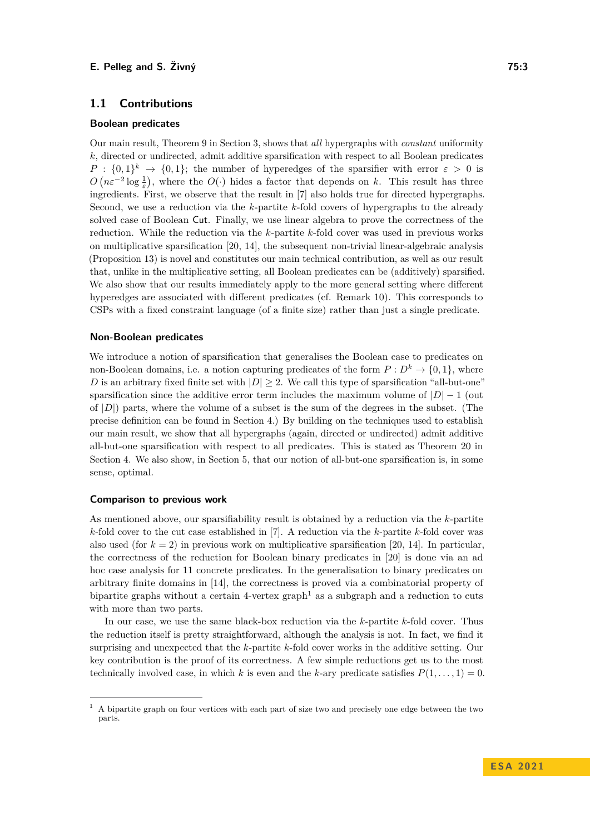## **1.1 Contributions**

### **Boolean predicates**

Our main result, Theorem [9](#page-5-0) in Section [3,](#page-5-1) shows that *all* hypergraphs with *constant* uniformity *k*, directed or undirected, admit additive sparsification with respect to all Boolean predicates  $P: \{0,1\}^k \to \{0,1\};$  the number of hyperedges of the sparsifier with error  $\varepsilon > 0$  is  $O(n\varepsilon^{-2} \log \frac{1}{\varepsilon})$ , where the  $O(\cdot)$  hides a factor that depends on *k*. This result has three ingredients. First, we observe that the result in [\[7\]](#page-12-5) also holds true for directed hypergraphs. Second, we use a reduction via the *k*-partite *k*-fold covers of hypergraphs to the already solved case of Boolean Cut. Finally, we use linear algebra to prove the correctness of the reduction. While the reduction via the *k*-partite *k*-fold cover was used in previous works on multiplicative sparsification [\[20,](#page-13-7) [14\]](#page-12-4), the subsequent non-trivial linear-algebraic analysis (Proposition [13\)](#page-7-0) is novel and constitutes our main technical contribution, as well as our result that, unlike in the multiplicative setting, all Boolean predicates can be (additively) sparsified. We also show that our results immediately apply to the more general setting where different hyperedges are associated with different predicates (cf. Remark [10\)](#page-5-2). This corresponds to CSPs with a fixed constraint language (of a finite size) rather than just a single predicate.

#### **Non-Boolean predicates**

We introduce a notion of sparsification that generalises the Boolean case to predicates on non-Boolean domains, i.e. a notion capturing predicates of the form  $P: D^k \to \{0,1\}$ , where *D* is an arbitrary fixed finite set with  $|D| \geq 2$ . We call this type of sparsification "all-but-one" sparsification since the additive error term includes the maximum volume of  $|D| - 1$  (out of |*D*|) parts, where the volume of a subset is the sum of the degrees in the subset. (The precise definition can be found in Section [4.](#page-11-0)) By building on the techniques used to establish our main result, we show that all hypergraphs (again, directed or undirected) admit additive all-but-one sparsification with respect to all predicates. This is stated as Theorem [20](#page-11-1) in Section [4.](#page-11-0) We also show, in Section [5,](#page-11-2) that our notion of all-but-one sparsification is, in some sense, optimal.

#### **Comparison to previous work**

As mentioned above, our sparsifiability result is obtained by a reduction via the *k*-partite *k*-fold cover to the cut case established in [\[7\]](#page-12-5). A reduction via the *k*-partite *k*-fold cover was also used (for  $k = 2$ ) in previous work on multiplicative sparsification [\[20,](#page-13-7) [14\]](#page-12-4). In particular, the correctness of the reduction for Boolean binary predicates in [\[20\]](#page-13-7) is done via an ad hoc case analysis for 11 concrete predicates. In the generalisation to binary predicates on arbitrary finite domains in [\[14\]](#page-12-4), the correctness is proved via a combinatorial property of bipartite graphs without a certain  $4$ -vertex graph<sup>[1](#page-2-0)</sup> as a subgraph and a reduction to cuts with more than two parts.

In our case, we use the same black-box reduction via the *k*-partite *k*-fold cover. Thus the reduction itself is pretty straightforward, although the analysis is not. In fact, we find it surprising and unexpected that the *k*-partite *k*-fold cover works in the additive setting. Our key contribution is the proof of its correctness. A few simple reductions get us to the most technically involved case, in which *k* is even and the *k*-ary predicate satisfies  $P(1, \ldots, 1) = 0$ .

<span id="page-2-0"></span><sup>1</sup> A bipartite graph on four vertices with each part of size two and precisely one edge between the two parts.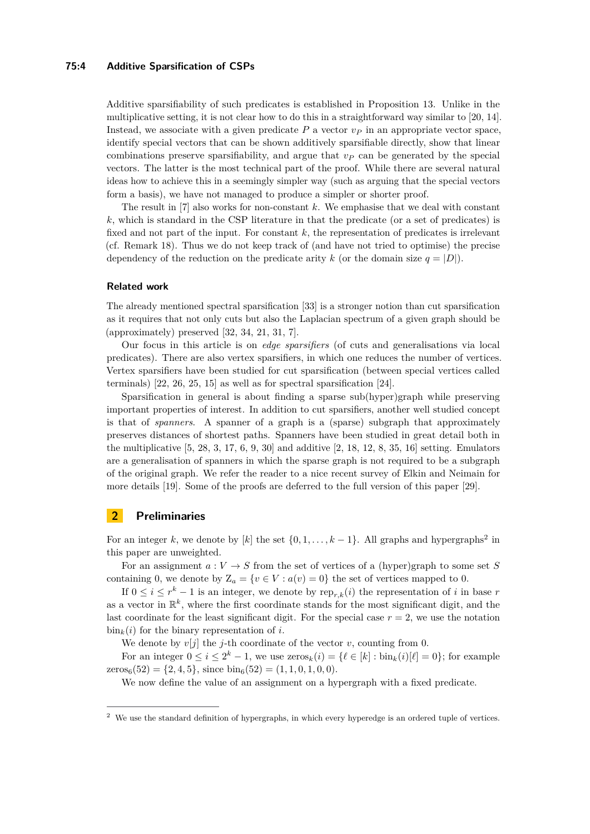#### **75:4 Additive Sparsification of CSPs**

Additive sparsifiability of such predicates is established in Proposition [13.](#page-7-0) Unlike in the multiplicative setting, it is not clear how to do this in a straightforward way similar to [\[20,](#page-13-7) [14\]](#page-12-4). Instead, we associate with a given predicate  $P$  a vector  $v_P$  in an appropriate vector space, identify special vectors that can be shown additively sparsifiable directly, show that linear combinations preserve sparsifiability, and argue that *v<sup>P</sup>* can be generated by the special vectors. The latter is the most technical part of the proof. While there are several natural ideas how to achieve this in a seemingly simpler way (such as arguing that the special vectors form a basis), we have not managed to produce a simpler or shorter proof.

The result in [\[7\]](#page-12-5) also works for non-constant *k*. We emphasise that we deal with constant *k*, which is standard in the CSP literature in that the predicate (or a set of predicates) is fixed and not part of the input. For constant *k*, the representation of predicates is irrelevant (cf. Remark [18\)](#page-10-0). Thus we do not keep track of (and have not tried to optimise) the precise dependency of the reduction on the predicate arity k (or the domain size  $q = |D|$ ).

## **Related work**

The already mentioned spectral sparsification [\[33\]](#page-13-3) is a stronger notion than cut sparsification as it requires that not only cuts but also the Laplacian spectrum of a given graph should be (approximately) preserved [\[32,](#page-13-4) [34,](#page-14-0) [21,](#page-13-5) [31,](#page-13-6) [7\]](#page-12-5).

Our focus in this article is on *edge sparsifiers* (of cuts and generalisations via local predicates). There are also vertex sparsifiers, in which one reduces the number of vertices. Vertex sparsifiers have been studied for cut sparsification (between special vertices called terminals) [\[22,](#page-13-8) [26,](#page-13-9) [25,](#page-13-10) [15\]](#page-13-11) as well as for spectral sparsification [\[24\]](#page-13-12).

Sparsification in general is about finding a sparse sub(hyper)graph while preserving important properties of interest. In addition to cut sparsifiers, another well studied concept is that of *spanners*. A spanner of a graph is a (sparse) subgraph that approximately preserves distances of shortest paths. Spanners have been studied in great detail both in the multiplicative  $[5, 28, 3, 17, 6, 9, 30]$  $[5, 28, 3, 17, 6, 9, 30]$  $[5, 28, 3, 17, 6, 9, 30]$  $[5, 28, 3, 17, 6, 9, 30]$  $[5, 28, 3, 17, 6, 9, 30]$  $[5, 28, 3, 17, 6, 9, 30]$  $[5, 28, 3, 17, 6, 9, 30]$  $[5, 28, 3, 17, 6, 9, 30]$  $[5, 28, 3, 17, 6, 9, 30]$  $[5, 28, 3, 17, 6, 9, 30]$  $[5, 28, 3, 17, 6, 9, 30]$  $[5, 28, 3, 17, 6, 9, 30]$  $[5, 28, 3, 17, 6, 9, 30]$  and additive  $[2, 18, 12, 8, 35, 16]$  $[2, 18, 12, 8, 35, 16]$  $[2, 18, 12, 8, 35, 16]$  $[2, 18, 12, 8, 35, 16]$  $[2, 18, 12, 8, 35, 16]$  $[2, 18, 12, 8, 35, 16]$  $[2, 18, 12, 8, 35, 16]$  $[2, 18, 12, 8, 35, 16]$  $[2, 18, 12, 8, 35, 16]$  $[2, 18, 12, 8, 35, 16]$  $[2, 18, 12, 8, 35, 16]$  setting. Emulators are a generalisation of spanners in which the sparse graph is not required to be a subgraph of the original graph. We refer the reader to a nice recent survey of Elkin and Neimain for more details [\[19\]](#page-13-18). Some of the proofs are deferred to the full version of this paper [\[29\]](#page-13-0).

# <span id="page-3-0"></span>**2 Preliminaries**

For an integer *k*, we denote by [*k*] the set  $\{0, 1, \ldots, k-1\}$ . All graphs and hypergraphs<sup>[2](#page-3-1)</sup> in this paper are unweighted.

For an assignment  $a: V \to S$  from the set of vertices of a (hyper)graph to some set S containing 0, we denote by  $Z_a = \{v \in V : a(v) = 0\}$  the set of vertices mapped to 0.

If  $0 \leq i \leq r^k - 1$  is an integer, we denote by  $\text{rep}_{r,k}(i)$  the representation of *i* in base *r* as a vector in  $\mathbb{R}^k$ , where the first coordinate stands for the most significant digit, and the last coordinate for the least significant digit. For the special case  $r = 2$ , we use the notation  $\sin_k(i)$  for the binary representation of *i*.

We denote by  $v[j]$  the *j*-th coordinate of the vector *v*, counting from 0.

For an integer  $0 \le i \le 2^k - 1$ , we use  $\operatorname{zeros}_k(i) = \{ \ell \in [k] : \operatorname{bin}_k(i)[\ell] = 0 \}$ ; for example  $\text{zeros}_6(52) = \{2, 4, 5\}, \text{ since } \text{bin}_6(52) = (1, 1, 0, 1, 0, 0).$ 

<span id="page-3-2"></span>We now define the value of an assignment on a hypergraph with a fixed predicate.

<span id="page-3-1"></span><sup>&</sup>lt;sup>2</sup> We use the standard definition of hypergraphs, in which every hyperedge is an ordered tuple of vertices.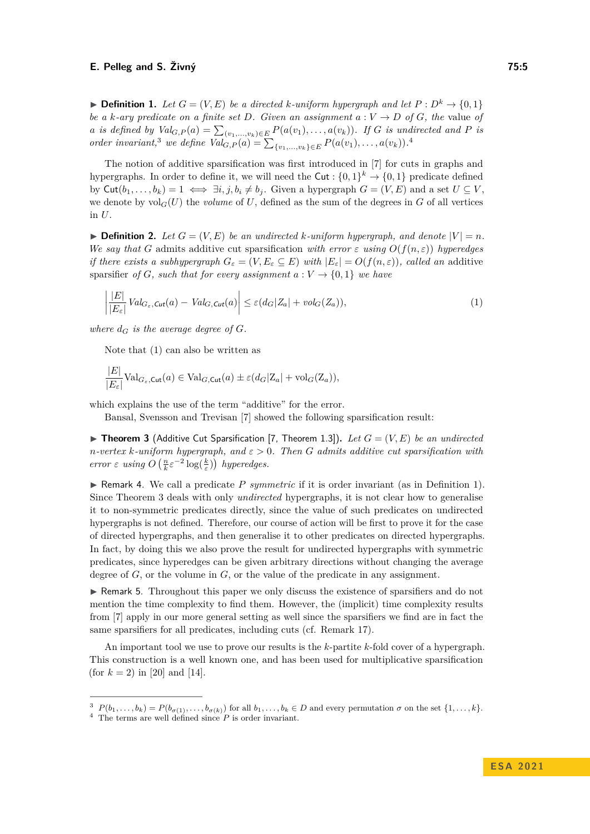▶ **Definition 1.** *Let*  $G = (V, E)$  *be a directed k-uniform hypergraph and let*  $P : D^k \to \{0, 1\}$ *be a k*-ary predicate on a finite set D. Given an assignment  $a: V \rightarrow D$  of G, the value of a is defined by  $Val_{G,P}(a) = \sum_{(v_1,...,v_k) \in E} P(a(v_1),...,a(v_k))$ . If G is undirected and P is *order invariant*,<sup>[3](#page-4-1)</sup> *we define*  $Val_{G,P}(a) = \sum_{\{v_1,...,v_k\} \in E} P(a(v_1),...,a(v_k))$ *.*<sup>[4](#page-4-2)</sup>

The notion of additive sparsification was first introduced in [\[7\]](#page-12-5) for cuts in graphs and hypergraphs. In order to define it, we will need the  $\text{Cut}: \{0,1\}^k \to \{0,1\}$  predicate defined by  $\text{Cut}(b_1, \ldots, b_k) = 1 \iff \exists i, j, b_i \neq b_j$ . Given a hypergraph  $G = (V, E)$  and a set  $U \subseteq V$ , we denote by  $vol_G(U)$  the *volume* of U, defined as the sum of the degrees in G of all vertices in *U*.

<span id="page-4-5"></span> $\blacktriangleright$  **Definition 2.** Let  $G = (V, E)$  be an undirected k-uniform hypergraph, and denote  $|V| = n$ . *We say that G* admits additive cut sparsification *with error*  $\varepsilon$  *using*  $O(f(n, \varepsilon))$  *hyperedges if there exists a subhypergraph*  $G_{\varepsilon} = (V, E_{\varepsilon} \subseteq E)$  *with*  $|E_{\varepsilon}| = O(f(n, \varepsilon))$ *, called an* additive sparsifier *of G, such that for every assignment*  $a: V \to \{0, 1\}$  *we have* 

<span id="page-4-3"></span>
$$
\left| \frac{|E|}{|E_{\varepsilon}|} Val_{G_{\varepsilon},\mathit{Cut}}(a) - Val_{G,\mathit{Cut}}(a) \right| \leq \varepsilon (d_G |Z_a| + vol_G(Z_a)),\tag{1}
$$

where  $d_G$  *is the average degree of*  $G$ *.* 

Note that [\(1\)](#page-4-3) can also be written as

$$
\frac{|E|}{|E_{\varepsilon}|} \text{Val}_{G_{\varepsilon},\text{Cut}}(a) \in \text{Val}_{G,\text{Cut}}(a) \pm \varepsilon (d_G | \mathbf{Z}_a | + \text{vol}_G(\mathbf{Z}_a)),
$$

which explains the use of the term "additive" for the error.

Bansal, Svensson and Trevisan [\[7\]](#page-12-5) showed the following sparsification result:

<span id="page-4-0"></span> $\blacktriangleright$  **Theorem 3** (Additive Cut Sparsification [\[7,](#page-12-5) Theorem 1.3]). Let  $G = (V, E)$  be an undirected *n-vertex k-uniform hypergraph, and ε >* 0*. Then G admits additive cut sparsification with error*  $\varepsilon$  *using*  $O\left(\frac{n}{k}\varepsilon^{-2}\log(\frac{k}{\varepsilon})\right)$  *hyperedges.* 

<span id="page-4-4"></span>▶ Remark 4. We call a predicate *P symmetric* if it is order invariant (as in Definition [1\)](#page-3-2). Since Theorem [3](#page-4-0) deals with only *undirected* hypergraphs, it is not clear how to generalise it to non-symmetric predicates directly, since the value of such predicates on undirected hypergraphs is not defined. Therefore, our course of action will be first to prove it for the case of directed hypergraphs, and then generalise it to other predicates on directed hypergraphs. In fact, by doing this we also prove the result for undirected hypergraphs with symmetric predicates, since hyperedges can be given arbitrary directions without changing the average degree of *G*, or the volume in *G*, or the value of the predicate in any assignment.

▶ Remark 5. Throughout this paper we only discuss the existence of sparsifiers and do not mention the time complexity to find them. However, the (implicit) time complexity results from [\[7\]](#page-12-5) apply in our more general setting as well since the sparsifiers we find are in fact the same sparsifiers for all predicates, including cuts (cf. Remark [17\)](#page-10-1).

An important tool we use to prove our results is the *k*-partite *k*-fold cover of a hypergraph. This construction is a well known one, and has been used for multiplicative sparsification (for  $k = 2$ ) in [\[20\]](#page-13-7) and [\[14\]](#page-12-4).

<span id="page-4-1"></span><sup>&</sup>lt;sup>3</sup>  $P(b_1,\ldots,b_k) = P(b_{\sigma(1)},\ldots,b_{\sigma(k)})$  for all  $b_1,\ldots,b_k \in D$  and every permutation  $\sigma$  on the set  $\{1,\ldots,k\}$ .

<span id="page-4-2"></span><sup>4</sup> The terms are well defined since *P* is order invariant.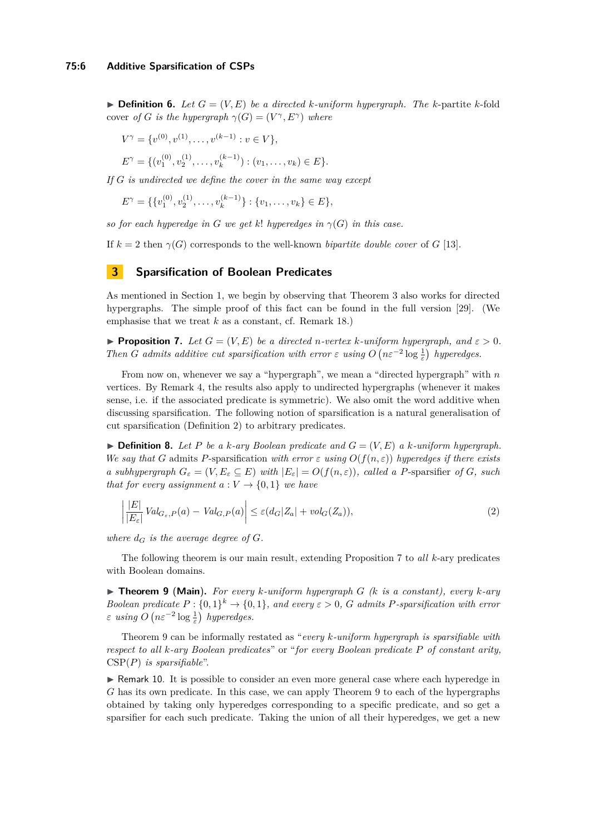$\blacktriangleright$  **Definition 6.** Let  $G = (V, E)$  be a directed k-uniform hypergraph. The k-partite k-fold cover *of G is the hypergraph*  $\gamma(G) = (V^{\gamma}, E^{\gamma})$  *where* 

$$
V^{\gamma} = \{v^{(0)}, v^{(1)}, \dots, v^{(k-1)} : v \in V\},\
$$
  

$$
E^{\gamma} = \{(v_1^{(0)}, v_2^{(1)}, \dots, v_k^{(k-1)}) : (v_1, \dots, v_k) \in E\}.
$$

*If G is undirected we define the cover in the same way except*

 $E^{\gamma} = \{ \{v_1^{(0)}, v_2^{(1)}, \dots, v_k^{(k-1)}\}$  $\{e^{(k-1)}\}\,$ :  $\{v_1,\ldots,v_k\}\in E\},\$ 

*so for each hyperedge in G we get k*! *hyperedges in*  $\gamma(G)$  *in this case.* 

If  $k = 2$  then  $\gamma(G)$  corresponds to the well-known *bipartite double cover* of *G* [\[13\]](#page-12-13).

## <span id="page-5-1"></span>**3 Sparsification of Boolean Predicates**

As mentioned in Section [1,](#page-0-0) we begin by observing that Theorem [3](#page-4-0) also works for directed hypergraphs. The simple proof of this fact can be found in the full version [\[29\]](#page-13-0). (We emphasise that we treat *k* as a constant, cf. Remark [18.](#page-10-0))

<span id="page-5-3"></span>**Proposition 7.** Let  $G = (V, E)$  be a directed *n*-vertex *k*-uniform hypergraph, and  $\varepsilon > 0$ . *Then G admits additive cut sparsification with error*  $\varepsilon$  *using*  $O(n\varepsilon^{-2} \log \frac{1}{\varepsilon})$  *hyperedges.* 

From now on, whenever we say a "hypergraph", we mean a "directed hypergraph" with *n* vertices. By Remark [4,](#page-4-4) the results also apply to undirected hypergraphs (whenever it makes sense, i.e. if the associated predicate is symmetric). We also omit the word additive when discussing sparsification. The following notion of sparsification is a natural generalisation of cut sparsification (Definition [2\)](#page-4-5) to arbitrary predicates.

<span id="page-5-5"></span> $\blacktriangleright$  **Definition 8.** Let P be a k-ary Boolean predicate and  $G = (V, E)$  a k-uniform hypergraph. *We say that G* admits *P*-sparsification *with error*  $\varepsilon$  *using*  $O(f(n, \varepsilon))$  *hyperedges if there exists a subhypergraph*  $G_{\varepsilon} = (V, E_{\varepsilon} \subseteq E)$  *with*  $|E_{\varepsilon}| = O(f(n, \varepsilon))$ *, called a P*-sparsifier *of G, such that for every assignment*  $a: V \to \{0, 1\}$  *we have* 

<span id="page-5-4"></span>
$$
\left| \frac{|E|}{|E_{\varepsilon}|} Val_{G_{\varepsilon},P}(a) - Val_{G,P}(a) \right| \le \varepsilon (d_G |Z_a| + vol_G(Z_a)),\tag{2}
$$

*where*  $d_G$  *is the average degree of*  $G$ *.* 

The following theorem is our main result, extending Proposition [7](#page-5-3) to *all k*-ary predicates with Boolean domains.

<span id="page-5-0"></span>▶ **Theorem 9** (**Main**)**.** *For every k-uniform hypergraph G (k is a constant), every k-ary Boolean predicate*  $P: \{0,1\}^k \to \{0,1\}$ *, and every*  $\varepsilon > 0$ *, G admits P-sparsification with error*  $\varepsilon$  *using*  $O\left(n\varepsilon^{-2}\log\frac{1}{\varepsilon}\right)$  *hyperedges.* 

Theorem [9](#page-5-0) can be informally restated as "*every k-uniform hypergraph is sparsifiable with respect to all k-ary Boolean predicates*" or "*for every Boolean predicate P of constant arity,* CSP(*P*) *is sparsifiable*".

<span id="page-5-2"></span>▶ Remark 10. It is possible to consider an even more general case where each hyperedge in *G* has its own predicate. In this case, we can apply Theorem [9](#page-5-0) to each of the hypergraphs obtained by taking only hyperedges corresponding to a specific predicate, and so get a sparsifier for each such predicate. Taking the union of all their hyperedges, we get a new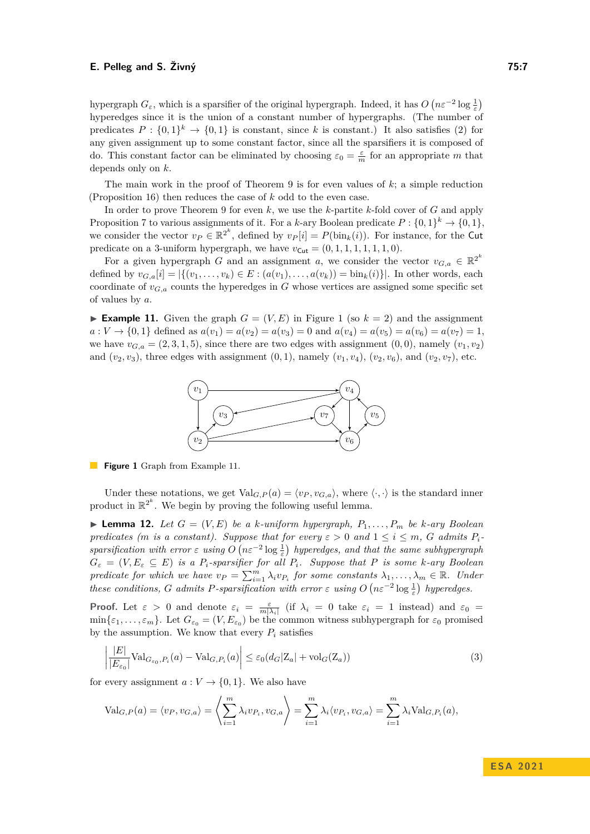hypergraph  $G_{\varepsilon}$ , which is a sparsifier of the original hypergraph. Indeed, it has  $O(n\varepsilon^{-2} \log \frac{1}{\varepsilon})$ hyperedges since it is the union of a constant number of hypergraphs. (The number of predicates  $P: \{0,1\}^k \to \{0,1\}$  is constant, since k is constant.) It also satisfies [\(2\)](#page-5-4) for any given assignment up to some constant factor, since all the sparsifiers it is composed of do. This constant factor can be eliminated by choosing  $\varepsilon_0 = \frac{\varepsilon}{m}$  for an appropriate *m* that depends only on *k*.

The main work in the proof of Theorem [9](#page-5-0) is for even values of *k*; a simple reduction (Proposition [16\)](#page-10-2) then reduces the case of *k* odd to the even case.

In order to prove Theorem [9](#page-5-0) for even *k*, we use the *k*-partite *k*-fold cover of *G* and apply Proposition [7](#page-5-3) to various assignments of it. For a *k*-ary Boolean predicate  $P: \{0,1\}^k \to \{0,1\}$ , we consider the vector  $v_P \in \mathbb{R}^{2^k}$ , defined by  $v_P[i] = P(\text{bin}_k(i))$ . For instance, for the Cut predicate on a 3-uniform hypergraph, we have  $v_{\text{Cut}} = (0, 1, 1, 1, 1, 1, 1, 0)$ .

For a given hypergraph *G* and an assignment *a*, we consider the vector  $v_{G,a} \in \mathbb{R}^{2^k}$ defined by  $v_{G,a}[i] = |\{(v_1, \ldots, v_k) \in E : (a(v_1), \ldots, a(v_k)) = \text{bin}_k(i)\}|$ . In other words, each coordinate of  $v_{G,a}$  counts the hyperedges in  $G$  whose vertices are assigned some specific set of values by *a*.

<span id="page-6-1"></span><span id="page-6-0"></span>**Example [1](#page-6-0)1.** Given the graph  $G = (V, E)$  in Figure 1 (so  $k = 2$ ) and the assignment  $a: V \to \{0, 1\}$  defined as  $a(v_1) = a(v_2) = a(v_3) = 0$  and  $a(v_4) = a(v_5) = a(v_6) = a(v_7) = 1$ , we have  $v_{G,a} = (2,3,1,5)$ , since there are two edges with assignment  $(0,0)$ , namely  $(v_1, v_2)$ and  $(v_2, v_3)$ , three edges with assignment  $(0, 1)$ , namely  $(v_1, v_4)$ ,  $(v_2, v_6)$ , and  $(v_2, v_7)$ , etc.



**Figure 1** Graph from Example [11.](#page-6-1)

Under these notations, we get  $Val_{G,P}(a) = \langle v_P, v_{G,a} \rangle$ , where  $\langle \cdot, \cdot \rangle$  is the standard inner product in  $\mathbb{R}^{2^k}$ . We begin by proving the following useful lemma.

<span id="page-6-3"></span> $\blacktriangleright$  **Lemma 12.** Let  $G = (V, E)$  be a *k*-uniform hypergraph,  $P_1, \ldots, P_m$  be *k*-ary Boolean *predicates (m is a constant). Suppose that for every*  $\varepsilon > 0$  *and*  $1 \le i \le m$ , *G admits*  $P_i$ *sparsification with error*  $\varepsilon$  *using*  $O(n\varepsilon^{-2} \log \frac{1}{\varepsilon})$  *hyperedges, and that the same subhypergraph*  $G_{\varepsilon} = (V, E_{\varepsilon} \subseteq E)$  *is a P*<sub>*i*</sub>-sparsifier for all  $P_i$ . Suppose that P *is some k-ary Boolean predicate for which we have*  $v_P = \sum_{i=1}^m \lambda_i v_{P_i}$  *for some constants*  $\lambda_1, \ldots, \lambda_m \in \mathbb{R}$ *. Under these conditions, G admits P-sparsification with error*  $\varepsilon$  *using*  $O(n\varepsilon^{-2} \log \frac{1}{\varepsilon})$  *hyperedges.* 

**Proof.** Let  $\varepsilon > 0$  and denote  $\varepsilon_i = \frac{\varepsilon}{m|\lambda_i|}$  (if  $\lambda_i = 0$  take  $\varepsilon_i = 1$  instead) and  $\varepsilon_0 =$  $\min\{\varepsilon_1,\ldots,\varepsilon_m\}$ . Let  $G_{\varepsilon_0} = (V, E_{\varepsilon_0})$  be the common witness subhypergraph for  $\varepsilon_0$  promised by the assumption. We know that every  $P_i$  satisfies

<span id="page-6-2"></span>
$$
\left| \frac{|E|}{|E_{\varepsilon_0}|} \text{Val}_{G_{\varepsilon_0}, P_i}(a) - \text{Val}_{G, P_i}(a) \right| \le \varepsilon_0 (d_G |Z_a| + \text{vol}_G(Z_a)) \tag{3}
$$

for every assignment  $a: V \to \{0,1\}$ . We also have

$$
\text{Val}_{G,P}(a) = \langle v_P, v_{G,a} \rangle = \left\langle \sum_{i=1}^m \lambda_i v_{P_i}, v_{G,a} \right\rangle = \sum_{i=1}^m \lambda_i \langle v_{P_i}, v_{G,a} \rangle = \sum_{i=1}^m \lambda_i \text{Val}_{G,P_i}(a),
$$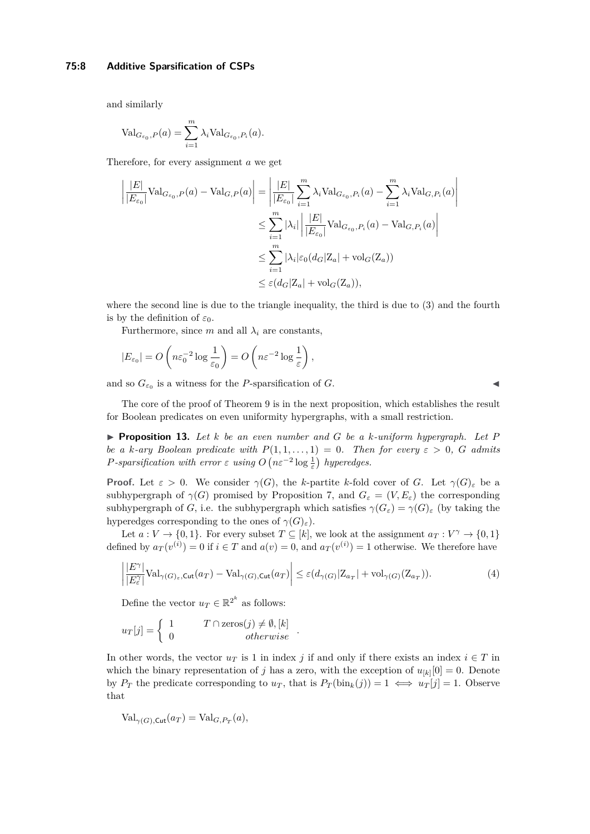#### **75:8 Additive Sparsification of CSPs**

and similarly

$$
\text{Val}_{G_{\varepsilon_0},P}(a) = \sum_{i=1}^m \lambda_i \text{Val}_{G_{\varepsilon_0},P_i}(a).
$$

Therefore, for every assignment *a* we get

$$
\left| \frac{|E|}{|E_{\varepsilon_0}|} \text{Val}_{G_{\varepsilon_0},P}(a) - \text{Val}_{G,P}(a) \right| = \left| \frac{|E|}{|E_{\varepsilon_0}|} \sum_{i=1}^m \lambda_i \text{Val}_{G_{\varepsilon_0},P_i}(a) - \sum_{i=1}^m \lambda_i \text{Val}_{G,P_i}(a) \right|
$$
  

$$
\leq \sum_{i=1}^m |\lambda_i| \left| \frac{|E|}{|E_{\varepsilon_0}|} \text{Val}_{G_{\varepsilon_0},P_i}(a) - \text{Val}_{G,P_i}(a) \right|
$$
  

$$
\leq \sum_{i=1}^m |\lambda_i| \varepsilon_0 (d_G |Z_a| + \text{vol}_G(Z_a))
$$
  

$$
\leq \varepsilon (d_G |Z_a| + \text{vol}_G(Z_a)),
$$

where the second line is due to the triangle inequality, the third is due to [\(3\)](#page-6-2) and the fourth is by the definition of  $\varepsilon_0$ .

Furthermore, since  $m$  and all  $\lambda_i$  are constants,

$$
|E_{\varepsilon_0}| = O\left(n\varepsilon_0^{-2}\log\frac{1}{\varepsilon_0}\right) = O\left(n\varepsilon^{-2}\log\frac{1}{\varepsilon}\right),\,
$$

and so  $G_{\varepsilon_0}$  is a witness for the *P*-sparsification of *G*.

<span id="page-7-1"></span>

The core of the proof of Theorem [9](#page-5-0) is in the next proposition, which establishes the result for Boolean predicates on even uniformity hypergraphs, with a small restriction.

<span id="page-7-0"></span>▶ **Proposition 13.** *Let k be an even number and G be a k-uniform hypergraph. Let P be a k-ary Boolean predicate with*  $P(1,1,\ldots,1) = 0$ *. Then for every*  $\varepsilon > 0$ *, G admits P*-sparsification with error  $\varepsilon$  *using*  $O(n\varepsilon^{-2} \log \frac{1}{\varepsilon})$  hyperedges.

**Proof.** Let  $\varepsilon > 0$ . We consider  $\gamma(G)$ , the *k*-partite *k*-fold cover of *G*. Let  $\gamma(G)_{\varepsilon}$  be a subhypergraph of  $\gamma(G)$  promised by Proposition [7,](#page-5-3) and  $G_{\varepsilon} = (V, E_{\varepsilon})$  the corresponding subhypergraph of *G*, i.e. the subhypergraph which satisfies  $\gamma(G_{\varepsilon}) = \gamma(G)_{\varepsilon}$  (by taking the hyperedges corresponding to the ones of  $\gamma(G)_{\varepsilon}$ ).

Let  $a: V \to \{0,1\}$ . For every subset  $T \subseteq [k]$ , we look at the assignment  $a_T: V^{\gamma} \to \{0,1\}$ defined by  $a_T(v^{(i)}) = 0$  if  $i \in T$  and  $a(v) = 0$ , and  $a_T(v^{(i)}) = 1$  otherwise. We therefore have

$$
\left| \frac{|E^{\gamma}|}{|E^{\gamma}_\varepsilon|} \text{Val}_{\gamma(G)_{\varepsilon},\text{Cut}}(a_T) - \text{Val}_{\gamma(G),\text{Cut}}(a_T) \right| \leq \varepsilon (d_{\gamma(G)} |Z_{a_T}| + \text{vol}_{\gamma(G)}(Z_{a_T})). \tag{4}
$$

Define the vector  $u_T \in \mathbb{R}^{2^k}$  as follows:

$$
u_T[j] = \begin{cases} 1 & T \cap \text{zeros}(j) \neq \emptyset, [k] \\ 0 & otherwise \end{cases}.
$$

In other words, the vector  $u_T$  is 1 in index *j* if and only if there exists an index  $i \in T$  in which the binary representation of *j* has a zero, with the exception of  $u_{[k]}[0] = 0$ . Denote by  $P_T$  the predicate corresponding to  $u_T$ , that is  $P_T(\text{bin}_k(j)) = 1 \iff u_T[j] = 1$ . Observe that

$$
Val_{\gamma(G),\text{Cut}}(a_T) = Val_{G,P_T}(a),
$$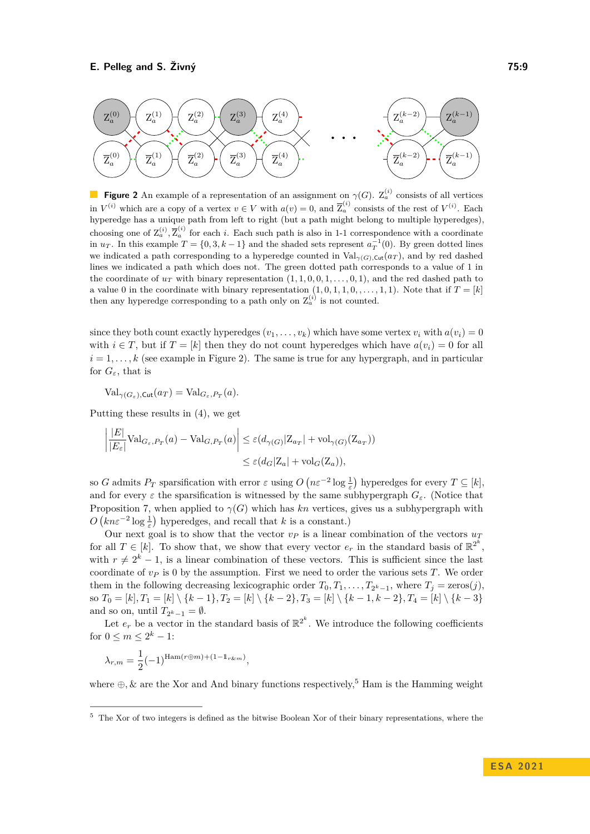<span id="page-8-0"></span>

**Figure 2** An example of a representation of an assignment on  $\gamma(G)$ .  $Z_a^{(i)}$  consists of all vertices in  $V^{(i)}$  which are a copy of a vertex  $v \in V$  with  $a(v) = 0$ , and  $\overline{Z}_a^{(i)}$  consists of the rest of  $V^{(i)}$ . Each hyperedge has a unique path from left to right (but a path might belong to multiple hyperedges), choosing one of  $Z_a^{(i)}$ ,  $\overline{Z}_a^{(i)}$  for each *i*. Each such path is also in 1-1 correspondence with a coordinate in  $u_T$ . In this example  $T = \{0, 3, k - 1\}$  and the shaded sets represent  $a_T^{-1}(0)$ . By green dotted lines we indicated a path corresponding to a hyperedge counted in  $Val_{\gamma(G),\text{Cut}}(a_T)$ , and by red dashed lines we indicated a path which does not. The green dotted path corresponds to a value of 1 in the coordinate of  $u_T$  with binary representation  $(1, 1, 0, 0, 1, \ldots, 0, 1)$ , and the red dashed path to a value 0 in the coordinate with binary representation  $(1, 0, 1, 1, 0, \ldots, 1, 1)$ . Note that if  $T = [k]$ then any hyperedge corresponding to a path only on  $Z_a^{(i)}$  is not counted.

since they both count exactly hyperedges  $(v_1, \ldots, v_k)$  which have some vertex  $v_i$  with  $a(v_i) = 0$ with  $i \in T$ , but if  $T = [k]$  then they do not count hyperedges which have  $a(v_i) = 0$  for all  $i = 1, \ldots, k$  (see example in Figure [2\)](#page-8-0). The same is true for any hypergraph, and in particular for  $G_{\varepsilon}$ , that is

 $\text{Val}_{\gamma(G_{\varepsilon}),\text{Cut}}(a_T) = \text{Val}_{G_{\varepsilon},P_T}(a)$ .

Putting these results in [\(4\)](#page-7-1), we get

$$
\left| \frac{|E|}{|E_{\varepsilon}|} \text{Val}_{G_{\varepsilon},P_T}(a) - \text{Val}_{G,P_T}(a) \right| \leq \varepsilon (d_{\gamma(G)} |Z_{a_T}| + \text{vol}_{\gamma(G)}(Z_{a_T}))
$$
  

$$
\leq \varepsilon (d_G |Z_a| + \text{vol}_G(Z_a)),
$$

so *G* admits  $P_T$  sparsification with error  $\varepsilon$  using  $O(n\varepsilon^{-2} \log \frac{1}{\varepsilon})$  hyperedges for every  $T \subseteq [k]$ , and for every  $\varepsilon$  the sparsification is witnessed by the same subhypergraph  $G_{\varepsilon}$ . (Notice that Proposition [7,](#page-5-3) when applied to  $\gamma(G)$  which has *kn* vertices, gives us a subhypergraph with  $O\left(kn\varepsilon^{-2}\log\frac{1}{\varepsilon}\right)$  hyperedges, and recall that *k* is a constant.)

Our next goal is to show that the vector  $v_P$  is a linear combination of the vectors  $u_T$ for all  $T \in [k]$ . To show that, we show that every vector  $e_r$  in the standard basis of  $\mathbb{R}^{2^k}$ , with  $r \neq 2^k - 1$ , is a linear combination of these vectors. This is sufficient since the last coordinate of  $v<sub>P</sub>$  is 0 by the assumption. First we need to order the various sets *T*. We order them in the following decreasing lexicographic order  $T_0, T_1, \ldots, T_{2^k-1}$ , where  $T_j = \text{zeros}(j)$ , so *T*<sup>0</sup> = [*k*]*, T*<sup>1</sup> = [*k*] \ {*k* − 1}*, T*<sup>2</sup> = [*k*] \ {*k* − 2}*, T*<sup>3</sup> = [*k*] \ {*k* − 1*, k* − 2}*, T*<sup>4</sup> = [*k*] \ {*k* − 3} and so on, until  $T_{2^k-1} = \emptyset$ .

Let  $e_r$  be a vector in the standard basis of  $\mathbb{R}^{2^k}$ . We introduce the following coefficients for  $0 \leq m \leq 2^k - 1$ :

$$
\lambda_{r,m} = \frac{1}{2}(-1)^{\operatorname{Ham}(r \oplus m) + (1 - \mathbb{1}_{r \& m})},
$$

where  $\oplus$ , & are the Xor and And binary functions respectively,<sup>[5](#page-8-1)</sup> Ham is the Hamming weight

<span id="page-8-1"></span><sup>5</sup> The Xor of two integers is defined as the bitwise Boolean Xor of their binary representations, where the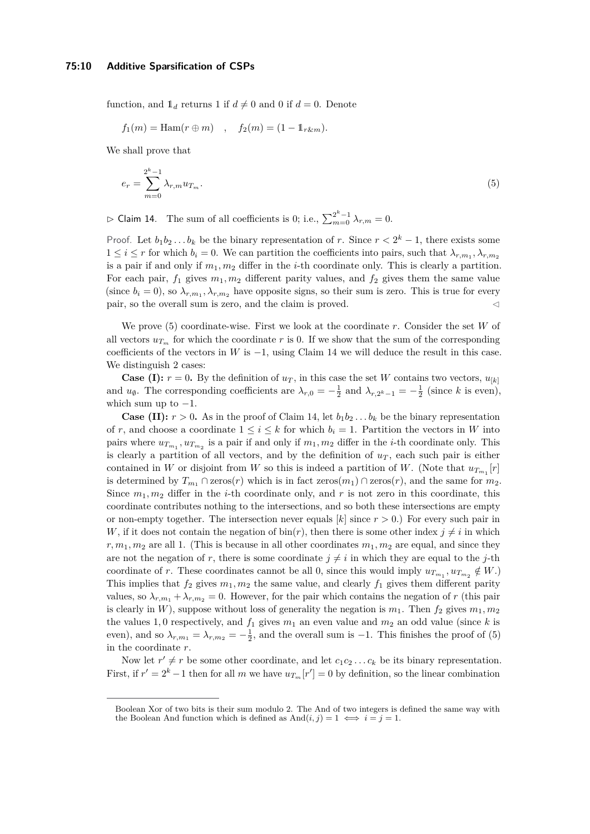function, and  $\mathbb{1}_d$  returns 1 if  $d \neq 0$  and 0 if  $d = 0$ . Denote

<span id="page-9-0"></span>
$$
f_1(m) = \text{Ham}(r \oplus m)
$$
,  $f_2(m) = (1 - \mathbb{1}_{r \& m}).$ 

We shall prove that

$$
e_r = \sum_{m=0}^{2^k - 1} \lambda_{r,m} u_{T_m}.
$$
\n(5)

<span id="page-9-1"></span> $\rhd$  Claim 14. The sum of all coefficients is 0; i.e.,  $\sum_{m=0}^{2^k-1} \lambda_{r,m} = 0$ .

Proof. Let  $b_1b_2...b_k$  be the binary representation of *r*. Since  $r < 2^k - 1$ , there exists some  $1 \leq i \leq r$  for which  $b_i = 0$ . We can partition the coefficients into pairs, such that  $\lambda_{r,m_1}, \lambda_{r,m_2}$ is a pair if and only if  $m_1, m_2$  differ in the *i*-th coordinate only. This is clearly a partition. For each pair,  $f_1$  gives  $m_1, m_2$  different parity values, and  $f_2$  gives them the same value (since  $b_i = 0$ ), so  $\lambda_{r,m_1}, \lambda_{r,m_2}$  have opposite signs, so their sum is zero. This is true for every pair, so the overall sum is zero, and the claim is proved.  $\lhd$ 

We prove [\(5\)](#page-9-0) coordinate-wise. First we look at the coordinate *r*. Consider the set *W* of all vectors  $u_{T_m}$  for which the coordinate r is 0. If we show that the sum of the corresponding coefficients of the vectors in *W* is  $-1$ , using Claim [14](#page-9-1) we will deduce the result in this case. We distinguish 2 cases:

**Case (I):**  $r = 0$ . By the definition of  $u_T$ , in this case the set *W* contains two vectors,  $u_{[k]}$ and  $u_{\emptyset}$ . The corresponding coefficients are  $\lambda_{r,0} = -\frac{1}{2}$  and  $\lambda_{r,2^k-1} = -\frac{1}{2}$  (since *k* is even), which sum up to  $-1$ .

**Case (II):**  $r > 0$ . As in the proof of Claim [14,](#page-9-1) let  $b_1b_2...b_k$  be the binary representation of r, and choose a coordinate  $1 \leq i \leq k$  for which  $b_i = 1$ . Partition the vectors in W into pairs where  $u_{T_{m_1}}, u_{T_{m_2}}$  is a pair if and only if  $m_1, m_2$  differ in the *i*-th coordinate only. This is clearly a partition of all vectors, and by the definition of  $u_T$ , each such pair is either contained in *W* or disjoint from *W* so this is indeed a partition of *W*. (Note that  $u_{T_{m_1}}[r]$ is determined by  $T_{m_1} \cap \text{zeros}(r)$  which is in fact  $\text{zeros}(m_1) \cap \text{zeros}(r)$ , and the same for  $m_2$ . Since  $m_1, m_2$  differ in the *i*-th coordinate only, and r is not zero in this coordinate, this coordinate contributes nothing to the intersections, and so both these intersections are empty or non-empty together. The intersection never equals  $[k]$  since  $r > 0$ .) For every such pair in *W*, if it does not contain the negation of  $\text{bin}(r)$ , then there is some other index  $j \neq i$  in which  $r, m_1, m_2$  are all 1. (This is because in all other coordinates  $m_1, m_2$  are equal, and since they are not the negation of *r*, there is some coordinate  $j \neq i$  in which they are equal to the *j*-th coordinate of *r*. These coordinates cannot be all 0, since this would imply  $u_{T_{m_1}}, u_{T_{m_2}} \notin W$ .) This implies that  $f_2$  gives  $m_1, m_2$  the same value, and clearly  $f_1$  gives them different parity values, so  $\lambda_{r,m_1} + \lambda_{r,m_2} = 0$ . However, for the pair which contains the negation of *r* (this pair is clearly in *W*), suppose without loss of generality the negation is  $m_1$ . Then  $f_2$  gives  $m_1, m_2$ the values 1,0 respectively, and  $f_1$  gives  $m_1$  an even value and  $m_2$  an odd value (since k is even), and so  $\lambda_{r,m_1} = \lambda_{r,m_2} = -\frac{1}{2}$ , and the overall sum is -1. This finishes the proof of [\(5\)](#page-9-0) in the coordinate *r*.

Now let  $r' \neq r$  be some other coordinate, and let  $c_1c_2 \ldots c_k$  be its binary representation. First, if  $r' = 2<sup>k</sup> - 1$  then for all *m* we have  $u_{T_m}[r'] = 0$  by definition, so the linear combination

Boolean Xor of two bits is their sum modulo 2. The And of two integers is defined the same way with the Boolean And function which is defined as  $And(i, j) = 1 \iff i = j = 1$ .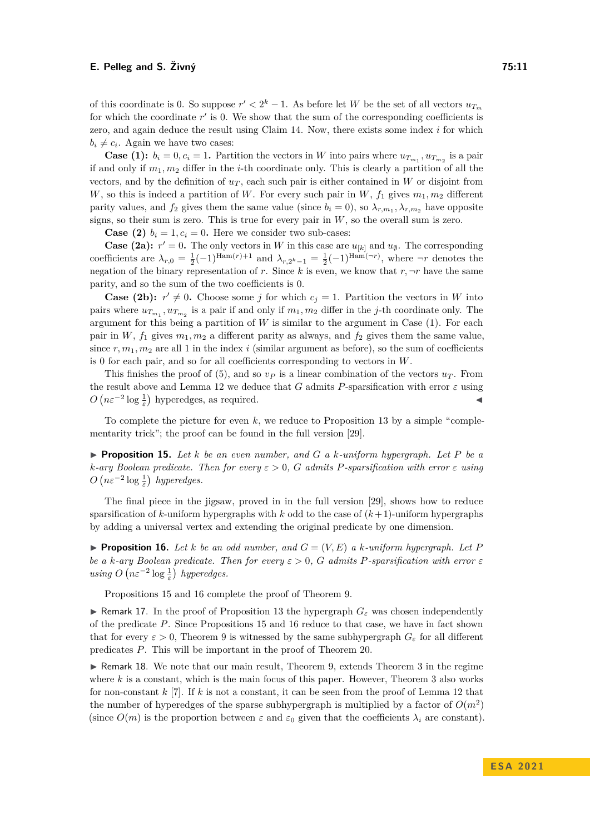of this coordinate is 0. So suppose  $r' < 2^k - 1$ . As before let *W* be the set of all vectors  $u_{T_m}$ for which the coordinate r' is 0. We show that the sum of the corresponding coefficients is zero, and again deduce the result using Claim [14.](#page-9-1) Now, there exists some index *i* for which  $b_i \neq c_i$ . Again we have two cases:

**Case (1):**  $b_i = 0, c_i = 1$ . Partition the vectors in *W* into pairs where  $u_{T_{m_1}}, u_{T_{m_2}}$  is a pair if and only if  $m_1, m_2$  differ in the *i*-th coordinate only. This is clearly a partition of all the vectors, and by the definition of  $u_T$ , each such pair is either contained in *W* or disjoint from *W*, so this is indeed a partition of *W*. For every such pair in *W*,  $f_1$  gives  $m_1, m_2$  different parity values, and  $f_2$  gives them the same value (since  $b_i = 0$ ), so  $\lambda_{r,m_1}, \lambda_{r,m_2}$  have opposite signs, so their sum is zero. This is true for every pair in *W*, so the overall sum is zero.

**Case (2)**  $b_i = 1, c_i = 0$ . Here we consider two sub-cases:

**Case (2a):**  $r' = 0$ . The only vectors in *W* in this case are  $u_{[k]}$  and  $u_{\emptyset}$ . The corresponding coefficients are  $\lambda_{r,0} = \frac{1}{2}(-1)^{\text{Ham}(r)+1}$  and  $\lambda_{r,2^k-1} = \frac{1}{2}(-1)^{\text{Ham}(\neg r)}$ , where  $\neg r$  denotes the negation of the binary representation of *r*. Since *k* is even, we know that  $r, \neg r$  have the same parity, and so the sum of the two coefficients is 0.

**Case (2b):**  $r' \neq 0$ . Choose some *j* for which  $c_j = 1$ . Partition the vectors in *W* into pairs where  $u_{T_{m_1}}$ ,  $u_{T_{m_2}}$  is a pair if and only if  $m_1, m_2$  differ in the *j*-th coordinate only. The argument for this being a partition of  $W$  is similar to the argument in Case  $(1)$ . For each pair in  $W$ ,  $f_1$  gives  $m_1, m_2$  a different parity as always, and  $f_2$  gives them the same value, since  $r, m_1, m_2$  are all 1 in the index *i* (similar argument as before), so the sum of coefficients is 0 for each pair, and so for all coefficients corresponding to vectors in *W*.

This finishes the proof of [\(5\)](#page-9-0), and so  $v_P$  is a linear combination of the vectors  $u_T$ . From the result above and Lemma [12](#page-6-3) we deduce that *G* admits *P*-sparsification with error  $\varepsilon$  using  $O(n\varepsilon^{-2} \log \frac{1}{\varepsilon})$  hyperedges, as required.

To complete the picture for even  $k$ , we reduce to Proposition [13](#page-7-0) by a simple "complementarity trick"; the proof can be found in the full version [\[29\]](#page-13-0).

<span id="page-10-3"></span>▶ **Proposition 15.** *Let k be an even number, and G a k-uniform hypergraph. Let P be a k-ary Boolean predicate. Then for every ε >* 0*, G admits P-sparsification with error ε using*  $O\left(n\varepsilon^{-2}\log\frac{1}{\varepsilon}\right)$  hyperedges.

The final piece in the jigsaw, proved in in the full version [\[29\]](#page-13-0), shows how to reduce sparsification of  $k$ -uniform hypergraphs with  $k$  odd to the case of  $(k+1)$ -uniform hypergraphs by adding a universal vertex and extending the original predicate by one dimension.

<span id="page-10-2"></span>**• Proposition 16.** Let *k* be an odd number, and  $G = (V, E)$  a *k*-uniform hypergraph. Let P *be a k*-ary Boolean predicate. Then for every  $\varepsilon > 0$ , G admits P-sparsification with error  $\varepsilon$ *using*  $O\left(n\varepsilon^{-2}\log\frac{1}{\varepsilon}\right)$  *hyperedges.* 

Propositions [15](#page-10-3) and [16](#page-10-2) complete the proof of Theorem [9.](#page-5-0)

<span id="page-10-1"></span>**▶ Remark 17.** In the proof of Proposition [13](#page-7-0) the hypergraph  $G_{\varepsilon}$  was chosen independently of the predicate *P*. Since Propositions [15](#page-10-3) and [16](#page-10-2) reduce to that case, we have in fact shown that for every  $\varepsilon > 0$ , Theorem [9](#page-5-0) is witnessed by the same subhypergraph  $G_{\varepsilon}$  for all different predicates *P*. This will be important in the proof of Theorem [20.](#page-11-1)

<span id="page-10-0"></span>▶ Remark 18. We note that our main result, Theorem [9,](#page-5-0) extends Theorem [3](#page-4-0) in the regime where  $k$  is a constant, which is the main focus of this paper. However, Theorem  $3$  also works for non-constant *k* [\[7\]](#page-12-5). If *k* is not a constant, it can be seen from the proof of Lemma [12](#page-6-3) that the number of hyperedges of the sparse subhypergraph is multiplied by a factor of  $O(m^2)$ (since  $O(m)$  is the proportion between  $\varepsilon$  and  $\varepsilon_0$  given that the coefficients  $\lambda_i$  are constant).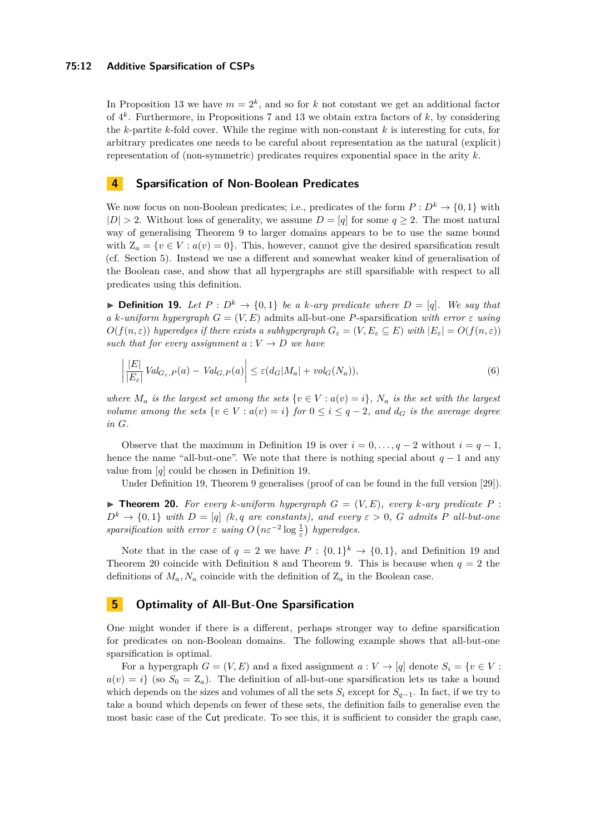#### **75:12 Additive Sparsification of CSPs**

In Proposition [13](#page-7-0) we have  $m = 2<sup>k</sup>$ , and so for *k* not constant we get an additional factor of 4 *k* . Furthermore, in Propositions [7](#page-5-3) and [13](#page-7-0) we obtain extra factors of *k*, by considering the *k*-partite *k*-fold cover. While the regime with non-constant *k* is interesting for cuts, for arbitrary predicates one needs to be careful about representation as the natural (explicit) representation of (non-symmetric) predicates requires exponential space in the arity *k*.

## <span id="page-11-0"></span>**4 Sparsification of Non-Boolean Predicates**

We now focus on non-Boolean predicates; i.e., predicates of the form  $P: D^k \to \{0,1\}$  with  $|D| > 2$ . Without loss of generality, we assume  $D = [q]$  for some  $q \geq 2$ . The most natural way of generalising Theorem [9](#page-5-0) to larger domains appears to be to use the same bound with  $Z_a = \{v \in V : a(v) = 0\}$ . This, however, cannot give the desired sparsification result (cf. Section [5\)](#page-11-2). Instead we use a different and somewhat weaker kind of generalisation of the Boolean case, and show that all hypergraphs are still sparsifiable with respect to all predicates using this definition.

<span id="page-11-3"></span>▶ **Definition 19.** *Let*  $P: D^k \to \{0,1\}$  *be a k-ary predicate where*  $D = [q]$ *. We say that a k-uniform hypergraph*  $G = (V, E)$  admits all-but-one *P*-sparsification *with error*  $\varepsilon$  *using*  $O(f(n, \varepsilon))$  *hyperedges if there exists a subhypergraph*  $G_{\varepsilon} = (V, E_{\varepsilon} \subseteq E)$  with  $|E_{\varepsilon}| = O(f(n, \varepsilon))$ *such that for every assignment*  $a: V \rightarrow D$  *we have* 

$$
\left| \frac{|E|}{|E_{\varepsilon}|} Val_{G_{\varepsilon},P}(a) - Val_{G,P}(a) \right| \le \varepsilon (d_G |M_a| + vol_G(N_a)),\tag{6}
$$

*where*  $M_a$  *is the largest set among the sets*  $\{v \in V : a(v) = i\}$ *,*  $N_a$  *is the set with the largest volume among the sets*  $\{v \in V : a(v) = i\}$  *for*  $0 \le i \le q - 2$ *, and*  $d_G$  *is the average degree in G.*

Observe that the maximum in Definition [19](#page-11-3) is over  $i = 0, \ldots, q-2$  without  $i = q-1$ , hence the name "all-but-one". We note that there is nothing special about  $q-1$  and any value from [*q*] could be chosen in Definition [19.](#page-11-3)

Under Definition [19,](#page-11-3) Theorem [9](#page-5-0) generalises (proof of can be found in the full version [\[29\]](#page-13-0)).

<span id="page-11-1"></span> $\blacktriangleright$  **Theorem 20.** For every *k*-uniform hypergraph  $G = (V, E)$ , every *k*-ary predicate P:  $D^k \rightarrow \{0,1\}$  *with*  $D = [q]$  *(k, q* are constants), and every  $\varepsilon > 0$ , *G* admits *P* all-but-one *sparsification with error*  $\varepsilon$  *using*  $O(n\varepsilon^{-2} \log \frac{1}{\varepsilon})$  *hyperedges.* 

Note that in the case of  $q = 2$  we have  $P : \{0,1\}^k \to \{0,1\}$ , and Definition [19](#page-11-3) and Theorem [20](#page-11-1) coincide with Definition [8](#page-5-5) and Theorem [9.](#page-5-0) This is because when  $q = 2$  the definitions of  $M_a, N_a$  coincide with the definition of  $Z_a$  in the Boolean case.

# <span id="page-11-2"></span>**5 Optimality of All-But-One Sparsification**

One might wonder if there is a different, perhaps stronger way to define sparsification for predicates on non-Boolean domains. The following example shows that all-but-one sparsification is optimal.

For a hypergraph  $G = (V, E)$  and a fixed assignment  $a: V \to [q]$  denote  $S_i = \{v \in V :$  $a(v) = i$  (so  $S_0 = Z_a$ ). The definition of all-but-one sparsification lets us take a bound which depends on the sizes and volumes of all the sets  $S_i$  except for  $S_{q-1}$ . In fact, if we try to take a bound which depends on fewer of these sets, the definition fails to generalise even the most basic case of the Cut predicate. To see this, it is sufficient to consider the graph case,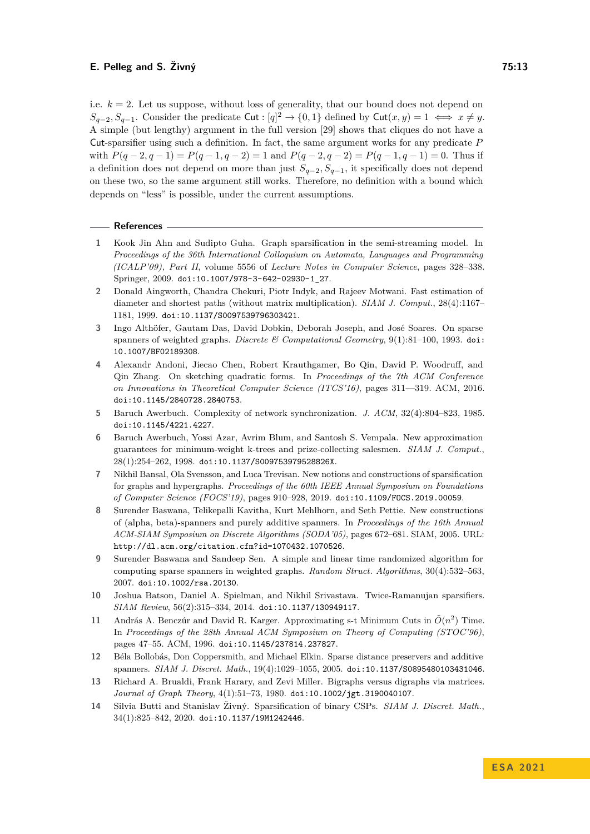i.e.  $k = 2$ . Let us suppose, without loss of generality, that our bound does not depend on *S*<sub>*q*−2</sub>*, S*<sub>*q*−1</sub>. Consider the predicate Cut : [*q*]<sup>2</sup> → {0*,* 1} defined by Cut(*x, y*) = 1  $\iff$  *x*  $\neq$  *y*. A simple (but lengthy) argument in the full version [\[29\]](#page-13-0) shows that cliques do not have a Cut-sparsifier using such a definition. In fact, the same argument works for any predicate *P* with  $P(q-2, q-1) = P(q-1, q-2) = 1$  and  $P(q-2, q-2) = P(q-1, q-1) = 0$ . Thus if a definition does not depend on more than just *Sq*−2*, Sq*−1, it specifically does not depend on these two, so the same argument still works. Therefore, no definition with a bound which depends on "less" is possible, under the current assumptions.

#### **References**

- <span id="page-12-3"></span>**1** Kook Jin Ahn and Sudipto Guha. Graph sparsification in the semi-streaming model. In *Proceedings of the 36th International Colloquium on Automata, Languages and Programming (ICALP'09), Part II*, volume 5556 of *Lecture Notes in Computer Science*, pages 328–338. Springer, 2009. [doi:10.1007/978-3-642-02930-1\\_27](https://doi.org/10.1007/978-3-642-02930-1_27).
- <span id="page-12-10"></span>**2** Donald Aingworth, Chandra Chekuri, Piotr Indyk, and Rajeev Motwani. Fast estimation of diameter and shortest paths (without matrix multiplication). *SIAM J. Comput.*, 28(4):1167– 1181, 1999. [doi:10.1137/S0097539796303421](https://doi.org/10.1137/S0097539796303421).
- <span id="page-12-7"></span>**3** Ingo Althöfer, Gautam Das, David Dobkin, Deborah Joseph, and José Soares. On sparse spanners of weighted graphs. *Discrete & Computational Geometry*, 9(1):81–100, 1993. [doi:](https://doi.org/10.1007/BF02189308) [10.1007/BF02189308](https://doi.org/10.1007/BF02189308).
- <span id="page-12-2"></span>**4** Alexandr Andoni, Jiecao Chen, Robert Krauthgamer, Bo Qin, David P. Woodruff, and Qin Zhang. On sketching quadratic forms. In *Proceedings of the 7th ACM Conference on Innovations in Theoretical Computer Science (ITCS'16)*, pages 311––319. ACM, 2016. [doi:10.1145/2840728.2840753](https://doi.org/10.1145/2840728.2840753).
- <span id="page-12-6"></span>**5** Baruch Awerbuch. Complexity of network synchronization. *J. ACM*, 32(4):804–823, 1985. [doi:10.1145/4221.4227](https://doi.org/10.1145/4221.4227).
- <span id="page-12-8"></span>**6** Baruch Awerbuch, Yossi Azar, Avrim Blum, and Santosh S. Vempala. New approximation guarantees for minimum-weight k-trees and prize-collecting salesmen. *SIAM J. Comput.*, 28(1):254–262, 1998. [doi:10.1137/S009753979528826X](https://doi.org/10.1137/S009753979528826X).
- <span id="page-12-5"></span>**7** Nikhil Bansal, Ola Svensson, and Luca Trevisan. New notions and constructions of sparsification for graphs and hypergraphs. *Proceedings of the 60th IEEE Annual Symposium on Foundations of Computer Science (FOCS'19)*, pages 910–928, 2019. [doi:10.1109/FOCS.2019.00059](https://doi.org/10.1109/FOCS.2019.00059).
- <span id="page-12-12"></span>**8** Surender Baswana, Telikepalli Kavitha, Kurt Mehlhorn, and Seth Pettie. New constructions of (alpha, beta)-spanners and purely additive spanners. In *Proceedings of the 16th Annual ACM-SIAM Symposium on Discrete Algorithms (SODA'05)*, pages 672–681. SIAM, 2005. URL: <http://dl.acm.org/citation.cfm?id=1070432.1070526>.
- <span id="page-12-9"></span>**9** Surender Baswana and Sandeep Sen. A simple and linear time randomized algorithm for computing sparse spanners in weighted graphs. *Random Struct. Algorithms*, 30(4):532–563, 2007. [doi:10.1002/rsa.20130](https://doi.org/10.1002/rsa.20130).
- <span id="page-12-1"></span>**10** Joshua Batson, Daniel A. Spielman, and Nikhil Srivastava. Twice-Ramanujan sparsifiers. *SIAM Review*, 56(2):315–334, 2014. [doi:10.1137/130949117](https://doi.org/10.1137/130949117).
- <span id="page-12-0"></span>11 András A. Benczúr and David R. Karger. Approximating s-t Minimum Cuts in  $\tilde{O}(n^2)$  Time. In *Proceedings of the 28th Annual ACM Symposium on Theory of Computing (STOC'96)*, pages 47–55. ACM, 1996. [doi:10.1145/237814.237827](https://doi.org/10.1145/237814.237827).
- <span id="page-12-11"></span>**12** Béla Bollobás, Don Coppersmith, and Michael Elkin. Sparse distance preservers and additive spanners. *SIAM J. Discret. Math.*, 19(4):1029–1055, 2005. [doi:10.1137/S0895480103431046](https://doi.org/10.1137/S0895480103431046).
- <span id="page-12-13"></span>**13** Richard A. Brualdi, Frank Harary, and Zevi Miller. Bigraphs versus digraphs via matrices. *Journal of Graph Theory*, 4(1):51–73, 1980. [doi:10.1002/jgt.3190040107](https://doi.org/10.1002/jgt.3190040107).
- <span id="page-12-4"></span>**14** Silvia Butti and Stanislav Živný. Sparsification of binary CSPs. *SIAM J. Discret. Math.*, 34(1):825–842, 2020. [doi:10.1137/19M1242446](https://doi.org/10.1137/19M1242446).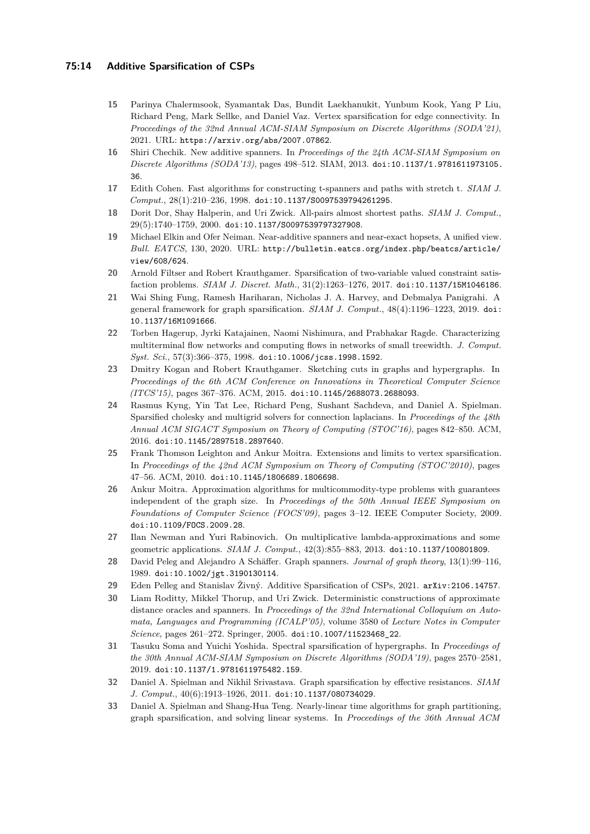## **75:14 Additive Sparsification of CSPs**

- <span id="page-13-11"></span>**15** Parinya Chalermsook, Syamantak Das, Bundit Laekhanukit, Yunbum Kook, Yang P Liu, Richard Peng, Mark Sellke, and Daniel Vaz. Vertex sparsification for edge connectivity. In *Proceedings of the 32nd Annual ACM-SIAM Symposium on Discrete Algorithms (SODA'21)*, 2021. URL: <https://arxiv.org/abs/2007.07862>.
- <span id="page-13-17"></span>**16** Shiri Chechik. New additive spanners. In *Proceedings of the 24th ACM-SIAM Symposium on Discrete Algorithms (SODA'13)*, pages 498–512. SIAM, 2013. [doi:10.1137/1.9781611973105.](https://doi.org/10.1137/1.9781611973105.36) [36](https://doi.org/10.1137/1.9781611973105.36).
- <span id="page-13-14"></span>**17** Edith Cohen. Fast algorithms for constructing t-spanners and paths with stretch t. *SIAM J. Comput.*, 28(1):210–236, 1998. [doi:10.1137/S0097539794261295](https://doi.org/10.1137/S0097539794261295).
- <span id="page-13-16"></span>**18** Dorit Dor, Shay Halperin, and Uri Zwick. All-pairs almost shortest paths. *SIAM J. Comput.*, 29(5):1740–1759, 2000. [doi:10.1137/S0097539797327908](https://doi.org/10.1137/S0097539797327908).
- <span id="page-13-18"></span>**19** Michael Elkin and Ofer Neiman. Near-additive spanners and near-exact hopsets, A unified view. *Bull. EATCS*, 130, 2020. URL: [http://bulletin.eatcs.org/index.php/beatcs/article/](http://bulletin.eatcs.org/index.php/beatcs/article/view/608/624) [view/608/624](http://bulletin.eatcs.org/index.php/beatcs/article/view/608/624).
- <span id="page-13-7"></span>**20** Arnold Filtser and Robert Krauthgamer. Sparsification of two-variable valued constraint satisfaction problems. *SIAM J. Discret. Math.*, 31(2):1263–1276, 2017. [doi:10.1137/15M1046186](https://doi.org/10.1137/15M1046186).
- <span id="page-13-5"></span>**21** Wai Shing Fung, Ramesh Hariharan, Nicholas J. A. Harvey, and Debmalya Panigrahi. A general framework for graph sparsification. *SIAM J. Comput.*, 48(4):1196–1223, 2019. [doi:](https://doi.org/10.1137/16M1091666) [10.1137/16M1091666](https://doi.org/10.1137/16M1091666).
- <span id="page-13-8"></span>**22** Torben Hagerup, Jyrki Katajainen, Naomi Nishimura, and Prabhakar Ragde. Characterizing multiterminal flow networks and computing flows in networks of small treewidth. *J. Comput. Syst. Sci.*, 57(3):366–375, 1998. [doi:10.1006/jcss.1998.1592](https://doi.org/10.1006/jcss.1998.1592).
- <span id="page-13-1"></span>**23** Dmitry Kogan and Robert Krauthgamer. Sketching cuts in graphs and hypergraphs. In *Proceedings of the 6th ACM Conference on Innovations in Theoretical Computer Science (ITCS'15)*, pages 367–376. ACM, 2015. [doi:10.1145/2688073.2688093](https://doi.org/10.1145/2688073.2688093).
- <span id="page-13-12"></span>**24** Rasmus Kyng, Yin Tat Lee, Richard Peng, Sushant Sachdeva, and Daniel A. Spielman. Sparsified cholesky and multigrid solvers for connection laplacians. In *Proceedings of the 48th Annual ACM SIGACT Symposium on Theory of Computing (STOC'16)*, pages 842–850. ACM, 2016. [doi:10.1145/2897518.2897640](https://doi.org/10.1145/2897518.2897640).
- <span id="page-13-10"></span>**25** Frank Thomson Leighton and Ankur Moitra. Extensions and limits to vertex sparsification. In *Proceedings of the 42nd ACM Symposium on Theory of Computing (STOC'2010)*, pages 47–56. ACM, 2010. [doi:10.1145/1806689.1806698](https://doi.org/10.1145/1806689.1806698).
- <span id="page-13-9"></span>**26** Ankur Moitra. Approximation algorithms for multicommodity-type problems with guarantees independent of the graph size. In *Proceedings of the 50th Annual IEEE Symposium on Foundations of Computer Science (FOCS'09)*, pages 3–12. IEEE Computer Society, 2009. [doi:10.1109/FOCS.2009.28](https://doi.org/10.1109/FOCS.2009.28).
- <span id="page-13-2"></span>**27** Ilan Newman and Yuri Rabinovich. On multiplicative lambda-approximations and some geometric applications. *SIAM J. Comput.*, 42(3):855–883, 2013. [doi:10.1137/100801809](https://doi.org/10.1137/100801809).
- <span id="page-13-13"></span>**28** David Peleg and Alejandro A Schäffer. Graph spanners. *Journal of graph theory*, 13(1):99–116, 1989. [doi:10.1002/jgt.3190130114](https://doi.org/10.1002/jgt.3190130114).
- <span id="page-13-0"></span>**29** Eden Pelleg and Stanislav Živný. Additive Sparsification of CSPs, 2021. [arXiv:2106.14757](http://arxiv.org/abs/2106.14757).
- <span id="page-13-15"></span>**30** Liam Roditty, Mikkel Thorup, and Uri Zwick. Deterministic constructions of approximate distance oracles and spanners. In *Proceedings of the 32nd International Colloquium on Automata, Languages and Programming (ICALP'05)*, volume 3580 of *Lecture Notes in Computer Science*, pages 261–272. Springer, 2005. [doi:10.1007/11523468\\_22](https://doi.org/10.1007/11523468_22).
- <span id="page-13-6"></span>**31** Tasuku Soma and Yuichi Yoshida. Spectral sparsification of hypergraphs. In *Proceedings of the 30th Annual ACM-SIAM Symposium on Discrete Algorithms (SODA'19)*, pages 2570–2581, 2019. [doi:10.1137/1.9781611975482.159](https://doi.org/10.1137/1.9781611975482.159).
- <span id="page-13-4"></span>**32** Daniel A. Spielman and Nikhil Srivastava. Graph sparsification by effective resistances. *SIAM J. Comput.*, 40(6):1913–1926, 2011. [doi:10.1137/080734029](https://doi.org/10.1137/080734029).
- <span id="page-13-3"></span>**33** Daniel A. Spielman and Shang-Hua Teng. Nearly-linear time algorithms for graph partitioning, graph sparsification, and solving linear systems. In *Proceedings of the 36th Annual ACM*